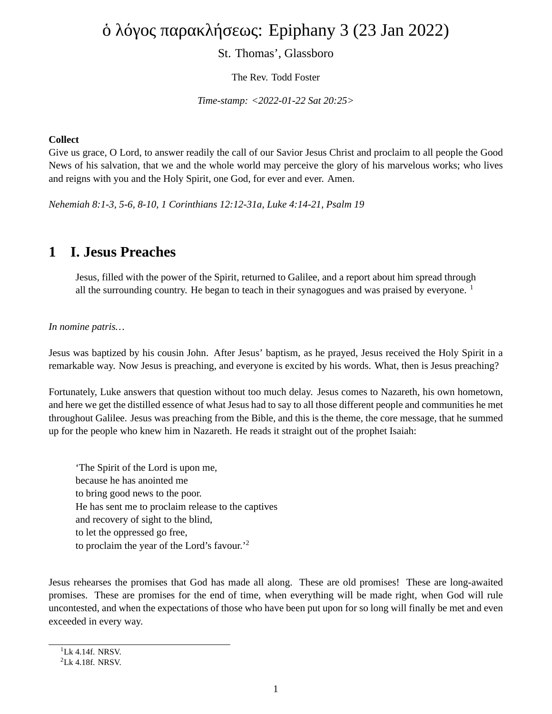# ὁ λόγος παρακλήσεως: Epiphany 3 (23 Jan 2022)

St. Thomas', Glassboro

The Rev. Todd Foster

*Time-stamp: <2022-01-22 Sat 20:25>*

#### **Collect**

Give us grace, O Lord, to answer readily the call of our Savior Jesus Christ and proclaim to all people the Good News of his salvation, that we and the whole world may perceive the glory of his marvelous works; who lives and reigns with you and the Holy Spirit, one God, for ever and ever. Amen.

*Nehemiah 8:1-3, 5-6, 8-10, 1 Corinthians 12:12-31a, Luke 4:14-21, Psalm 19*

### **1 I. Jesus Preaches**

Jesus, filled with the power of the Spirit, returned to Galilee, and a report about him spread through all the surrounding country. He began to teach in their synagogues and was praised by everyone.  $1$ 

*In nomine patris…*

Jesus was baptized by his cousin John. After Jesus' baptism, as he prayed, Jesus received the Holy Spirit in a remarkable way. Now Jesus is preaching, and everyone is excited by his words. What, then is Jesus preaching?

Fortunately, Luke answers that question without too much delay. Jesus comes to Nazareth, his own hometown, and here we get the distilled essence of what Jesus had to say to all those different people and communities he met throughout Galilee. Jesus was preaching from the Bible, and this is the theme, the core message, that he summed up for the people who knew him in Nazareth. He reads it straight out of the prophet Isaiah:

'The Spirit of the Lord is upon me, because he has anointed me to bring good news to the poor. He has sent me to proclaim release to the captives and recovery of sight to the blind, to let the oppressed go free, to proclaim the year of the Lord's favour.'<sup>2</sup>

Jesus rehearses the promises that God has made all along. These are old promises! These are long-awaited promises. These are promises for the end of time, when everything will be made right, when God will rule uncontested, and when the expectations of those who have been put upon for so long will finally be met and even exceeded in every way.

 $1$ <sup>1</sup>Lk 4.14f. NRSV.

 $2$ Lk 4.18f. NRSV.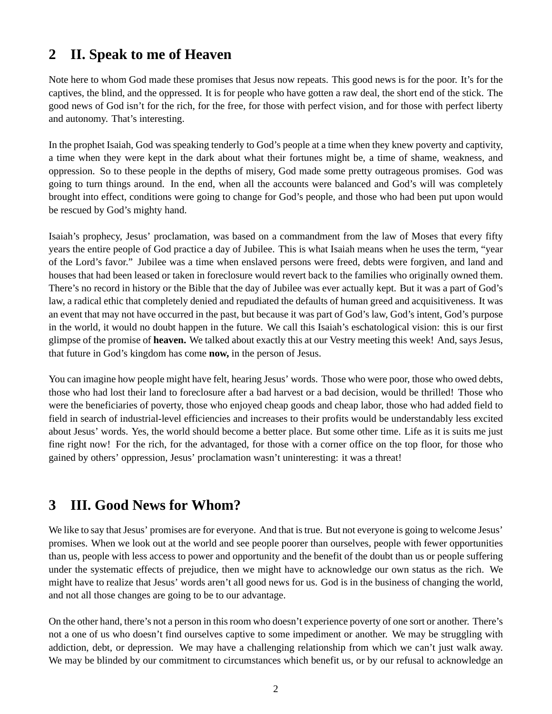## **2 II. Speak to me of Heaven**

Note here to whom God made these promises that Jesus now repeats. This good news is for the poor. It's for the captives, the blind, and the oppressed. It is for people who have gotten a raw deal, the short end of the stick. The good news of God isn't for the rich, for the free, for those with perfect vision, and for those with perfect liberty and autonomy. That's interesting.

In the prophet Isaiah, God was speaking tenderly to God's people at a time when they knew poverty and captivity, a time when they were kept in the dark about what their fortunes might be, a time of shame, weakness, and oppression. So to these people in the depths of misery, God made some pretty outrageous promises. God was going to turn things around. In the end, when all the accounts were balanced and God's will was completely brought into effect, conditions were going to change for God's people, and those who had been put upon would be rescued by God's mighty hand.

Isaiah's prophecy, Jesus' proclamation, was based on a commandment from the law of Moses that every fifty years the entire people of God practice a day of Jubilee. This is what Isaiah means when he uses the term, "year of the Lord's favor." Jubilee was a time when enslaved persons were freed, debts were forgiven, and land and houses that had been leased or taken in foreclosure would revert back to the families who originally owned them. There's no record in history or the Bible that the day of Jubilee was ever actually kept. But it was a part of God's law, a radical ethic that completely denied and repudiated the defaults of human greed and acquisitiveness. It was an event that may not have occurred in the past, but because it was part of God's law, God's intent, God's purpose in the world, it would no doubt happen in the future. We call this Isaiah's eschatological vision: this is our first glimpse of the promise of **heaven.** We talked about exactly this at our Vestry meeting this week! And, says Jesus, that future in God's kingdom has come **now,** in the person of Jesus.

You can imagine how people might have felt, hearing Jesus' words. Those who were poor, those who owed debts, those who had lost their land to foreclosure after a bad harvest or a bad decision, would be thrilled! Those who were the beneficiaries of poverty, those who enjoyed cheap goods and cheap labor, those who had added field to field in search of industrial-level efficiencies and increases to their profits would be understandably less excited about Jesus' words. Yes, the world should become a better place. But some other time. Life as it is suits me just fine right now! For the rich, for the advantaged, for those with a corner office on the top floor, for those who gained by others' oppression, Jesus' proclamation wasn't uninteresting: it was a threat!

### **3 III. Good News for Whom?**

We like to say that Jesus' promises are for everyone. And that is true. But not everyone is going to welcome Jesus' promises. When we look out at the world and see people poorer than ourselves, people with fewer opportunities than us, people with less access to power and opportunity and the benefit of the doubt than us or people suffering under the systematic effects of prejudice, then we might have to acknowledge our own status as the rich. We might have to realize that Jesus' words aren't all good news for us. God is in the business of changing the world, and not all those changes are going to be to our advantage.

On the other hand, there's not a person in this room who doesn't experience poverty of one sort or another. There's not a one of us who doesn't find ourselves captive to some impediment or another. We may be struggling with addiction, debt, or depression. We may have a challenging relationship from which we can't just walk away. We may be blinded by our commitment to circumstances which benefit us, or by our refusal to acknowledge an